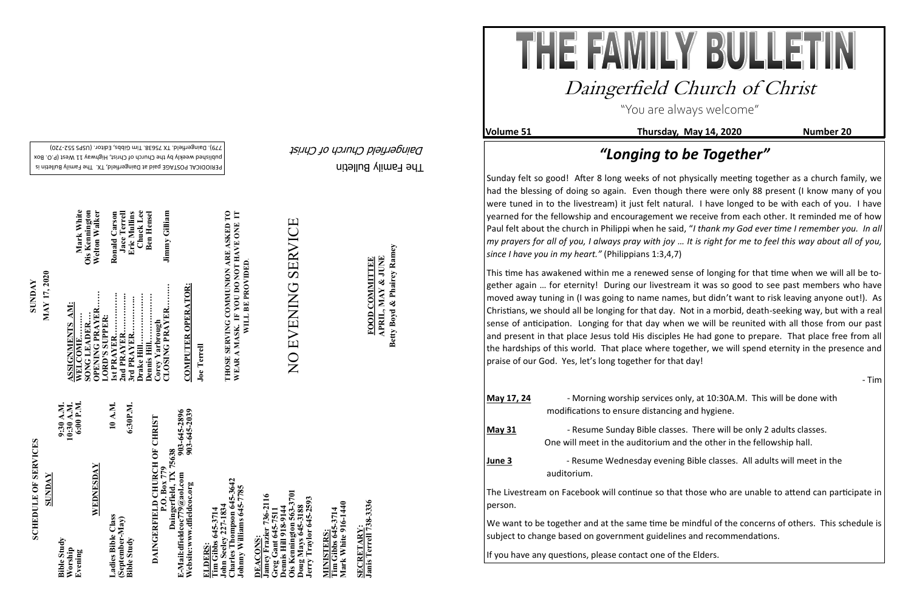The Family Bulletin Daingerfield Church of Christ

**Volume 51** Thursday, May 14, 2020 Number 20

# **SCHEDULE OF SERVICES SCHEDULE OF SERVICES**

PERIODICAL POSTAGE paid at Daingerfield, TX. The Family Bulletin is published weekly by the Church of Christ, Highway 11 West (P.O. Box 720) - 779). Daingerfield. TX 75638. Tim Gibbs, Editor. (USPS 552

903-645-2896<br>903-645-2039 **Website:www.dfieldcoc.org 903-645-2039 E-Mail:dfieldcoc779@aol.com 903-645-2896 DAINGERFIELD CHURCH OF CHRIST**<br>P.O. Box 779<br>Daingerfield, TX 75638<br>E-Mail:dfieldcoc*779@a*ol.com<br>Website:www.dfieldcoc.org **DAINGERFIELD CHURCH OF CHRIST Daingerfield, TX 75638**

**Charles Thompson 645-3642 Johnny Williams 645-7785**  s Thompson 645-<br>Williams 645-77 **John Seeley 227-1834**   $\mathbf{e}$ John Seele<br>Charles T<br>Johnny W

| <b>SUNDAY</b>                            |                                      |
|------------------------------------------|--------------------------------------|
| <b>Bible Study</b><br>Worship<br>Evening | 10:30 A.M.<br>6:00 P.M.<br>9:30 A.M. |
| WEDNESDAY                                |                                      |
| Ladies Bible Class                       | 10 A.M.                              |
| (September-May)<br><b>Bible Study</b>    | 6:30P.M.                             |

**Ois Kennington 563-3701 Jamey Frazier 736-2116**  736-2116 **Jerry Traylor 645-2593 Greg Gant 645-7511 Dennis Hill 918-9144 Doug Mays 645-3188** ennis Hill 918-91.<br>is Kennington 56 oug Mays 645-31<br>erry Traylor 645-**DEACONS: DEACONS** 

**Tim Gibbs 645-3714**<br>Mark White 916-1440 **Mark White 916-1440 Tim Gibbs 645-3714 MINISTERS: AINISTERS** 

SECRETARY:<br>Janis Terrell 738-3336 **Janis Terrell 738-3336 SECRETARY:**

**SUNDAY**<br>**MAY 17, 2020 MAY 17, 2020**

**WELCOME……… Mark White SONG LEADER…. Ois Kennington**  Mark White<br>Ois Kennington<br>Welton Walker **1st PRAYER……………. Ronald Carson**  Jace Terrell<br>Eric Mullins<br>Chuck Lee **CLOSING PRAYER……… Jimmy Gilliam OPENING PRAYER…… Welton Walker 2nd PRAYER…………... Jace Terrell Drake Hill………………. Chuck Lee Dennis Hill……………… Ben Hensel** Jimmy Gilliam **3rd PRAYER………….. Eric Mullins Ben Hense** Ronald Carsor Ois **CLOSING PRAYER.. ASSIGNMENTS AM: LORD'S SUPPER:** dgnord **Corey Yarbrough** ennis

**ELDERS: Tim Gibbs 645-3714** 

**COMPUTER OPERATOR: COMPUTER OPERATOR:**

**THOSE SERVING COMMUNION ARE ASKED TO WEAR A MASK. IF YOU DO NOT HAVE ONE IT**  SERVING COMMUNION ARE ASKED TO<br>A MASK. IF YOU DO NOT HAVE ONE IT<br>WILL BE PROVIDED. **WILL BE PROVIDED**. THOSE S<br>WEAR A

# NO EVENING SERVICE NO EVENING SERVICE

FOOD COMMITTEE<br>APRIL, MAY & JUNE<br>Betty Boyd & Phairey Ramey **Betty Boyd & Phairey Ramey APRIL, MAY & JUNE FOOD COMMITTEE**

**Joe Terrell**

"You are always welcome"

## Daingerfield Church of Christ

### *"Longing to be Together"*

Sunday felt so good! After 8 long weeks of not physically meeting together as a church family, we had the blessing of doing so again. Even though there were only 88 present (I know many of you were tuned in to the livestream) it just felt natural. I have longed to be with each of you. I have yearned for the fellowship and encouragement we receive from each other. It reminded me of how Paul felt about the church in Philippi when he said, "*I thank my God ever time I remember you. In all my prayers for all of you, I always pray with joy … It is right for me to feel this way about all of you, since I have you in my heart."* (Philippians 1:3,4,7)

This time has awakened within me a renewed sense of longing for that time when we will all be together again … for eternity! During our livestream it was so good to see past members who have moved away tuning in (I was going to name names, but didn't want to risk leaving anyone out!). As Christians, we should all be longing for that day. Not in a morbid, death-seeking way, but with a real sense of anticipation. Longing for that day when we will be reunited with all those from our past and present in that place Jesus told His disciples He had gone to prepare. That place free from all the hardships of this world. That place where together, we will spend eternity in the presence and praise of our God. Yes, let's long together for that day!

- Tim

**May 18, 24**  $\mu$  at 10:30A.M. This will be done with cing and hygiene.

sses. There will be only 2 adults classes. and the other in the fellowship hall.

ning Bible classes. All adults will meet in the

that those who are unable to attend can participate in

be mindful of the concerns of others. This schedule is lines and recommendations.

| May 17, 24 | - Morning worship services<br>modifications to ensure distanc                               |
|------------|---------------------------------------------------------------------------------------------|
| May 31     | - Resume Sunday Bible clas<br>One will meet in the auditorium                               |
| June 3     | - Resume Wednesday ever<br>auditorium.                                                      |
| person.    | The Livestream on Facebook will continue so t                                               |
|            | We want to be together and at the same time<br>subject to change based on government guidel |

If you have any questions, please contact one of the Elders.